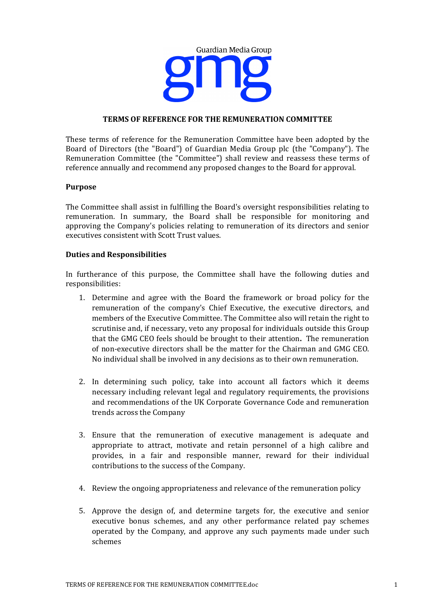

# **TERMS OF REFERENCE FOR THE REMUNERATION COMMITTEE**

These terms of reference for the Remuneration Committee have been adopted by the Board of Directors (the "Board") of Guardian Media Group plc (the "Company"). The Remuneration Committee (the "Committee") shall review and reassess these terms of reference annually and recommend any proposed changes to the Board for approval.

#### **Purpose**

The Committee shall assist in fulfilling the Board's oversight responsibilities relating to remuneration. In summary, the Board shall be responsible for monitoring and approving the Company's policies relating to remuneration of its directors and senior executives consistent with Scott Trust values.

#### **Duties and Responsibilities**

In furtherance of this purpose, the Committee shall have the following duties and responsibilities:

- 1. Determine and agree with the Board the framework or broad policy for the remuneration of the company's Chief Executive, the executive directors, and members of the Executive Committee. The Committee also will retain the right to scrutinise and, if necessary, veto any proposal for individuals outside this Group that the GMG CEO feels should be brought to their attention. The remuneration of non-executive directors shall be the matter for the Chairman and  $GMG$  CEO. No individual shall be involved in any decisions as to their own remuneration.
- 2. In determining such policy, take into account all factors which it deems necessary including relevant legal and regulatory requirements, the provisions and recommendations of the UK Corporate Governance Code and remuneration trends across the Company
- 3. Ensure that the remuneration of executive management is adequate and appropriate to attract, motivate and retain personnel of a high calibre and provides, in a fair and responsible manner, reward for their individual contributions to the success of the Company.
- 4. Review the ongoing appropriateness and relevance of the remuneration policy
- 5. Approve the design of, and determine targets for, the executive and senior executive bonus schemes, and any other performance related pay schemes operated by the Company, and approve any such payments made under such schemes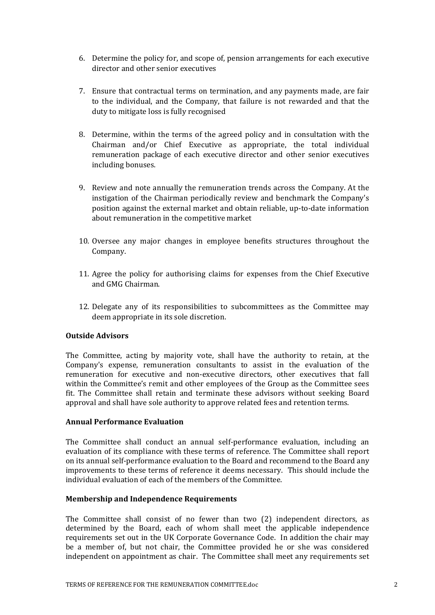- 6. Determine the policy for, and scope of, pension arrangements for each executive director and other senior executives
- 7. Ensure that contractual terms on termination, and any payments made, are fair to the individual, and the Company, that failure is not rewarded and that the duty to mitigate loss is fully recognised
- 8. Determine, within the terms of the agreed policy and in consultation with the Chairman and/or Chief Executive as appropriate, the total individual remuneration package of each executive director and other senior executives including bonuses.
- 9. Review and note annually the remuneration trends across the Company. At the instigation of the Chairman periodically review and benchmark the Company's position against the external market and obtain reliable, up-to-date information about remuneration in the competitive market
- 10. Oversee any major changes in employee benefits structures throughout the Company.
- 11. Agree the policy for authorising claims for expenses from the Chief Executive and GMG Chairman.
- 12. Delegate any of its responsibilities to subcommittees as the Committee may deem appropriate in its sole discretion.

# **Outside Advisors**

The Committee, acting by majority vote, shall have the authority to retain, at the Company's expense, remuneration consultants to assist in the evaluation of the remuneration for executive and non-executive directors, other executives that fall within the Committee's remit and other employees of the Group as the Committee sees fit. The Committee shall retain and terminate these advisors without seeking Board approval and shall have sole authority to approve related fees and retention terms.

# **Annual Performance Evaluation**

The Committee shall conduct an annual self-performance evaluation, including an evaluation of its compliance with these terms of reference. The Committee shall report on its annual self-performance evaluation to the Board and recommend to the Board any improvements to these terms of reference it deems necessary. This should include the individual evaluation of each of the members of the Committee.

# **Membership and Independence Requirements**

The Committee shall consist of no fewer than two  $(2)$  independent directors, as determined by the Board, each of whom shall meet the applicable independence requirements set out in the UK Corporate Governance Code. In addition the chair may be a member of, but not chair, the Committee provided he or she was considered independent on appointment as chair. The Committee shall meet any requirements set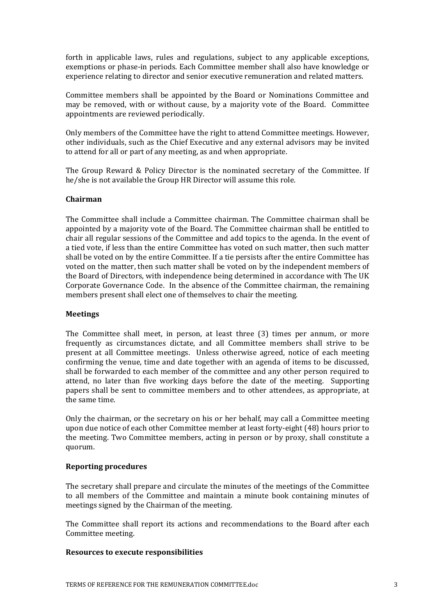forth in applicable laws, rules and regulations, subject to any applicable exceptions, exemptions or phase-in periods. Each Committee member shall also have knowledge or experience relating to director and senior executive remuneration and related matters.

Committee members shall be appointed by the Board or Nominations Committee and may be removed, with or without cause, by a majority vote of the Board. Committee appointments are reviewed periodically.

Only members of the Committee have the right to attend Committee meetings. However, other individuals, such as the Chief Executive and any external advisors may be invited to attend for all or part of any meeting, as and when appropriate.

The Group Reward & Policy Director is the nominated secretary of the Committee. If he/she is not available the Group HR Director will assume this role.

# **Chairman**

The Committee shall include a Committee chairman. The Committee chairman shall be appointed by a majority vote of the Board. The Committee chairman shall be entitled to chair all regular sessions of the Committee and add topics to the agenda. In the event of a tied vote, if less than the entire Committee has voted on such matter, then such matter shall be voted on by the entire Committee. If a tie persists after the entire Committee has voted on the matter, then such matter shall be voted on by the independent members of the Board of Directors, with independence being determined in accordance with The UK Corporate Governance Code. In the absence of the Committee chairman, the remaining members present shall elect one of themselves to chair the meeting.

#### **Meetings**

The Committee shall meet, in person, at least three (3) times per annum, or more frequently as circumstances dictate, and all Committee members shall strive to be present at all Committee meetings. Unless otherwise agreed, notice of each meeting confirming the venue, time and date together with an agenda of items to be discussed, shall be forwarded to each member of the committee and any other person required to attend, no later than five working days before the date of the meeting. Supporting papers shall be sent to committee members and to other attendees, as appropriate, at the same time.

Only the chairman, or the secretary on his or her behalf, may call a Committee meeting upon due notice of each other Committee member at least forty-eight (48) hours prior to the meeting. Two Committee members, acting in person or by proxy, shall constitute a quorum. 

#### **Reporting procedures**

The secretary shall prepare and circulate the minutes of the meetings of the Committee to all members of the Committee and maintain a minute book containing minutes of meetings signed by the Chairman of the meeting.

The Committee shall report its actions and recommendations to the Board after each Committee meeting.

# **Resources to execute responsibilities**